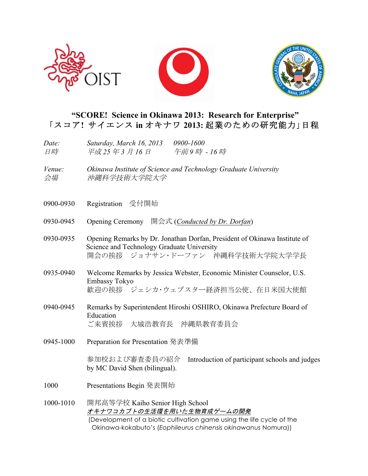





## **"SCORE! Science in Okinawa 2013: Research for Enterprise"** 「スコア**!** サイエンス **in** オキナワ **2013:** 起業のための研究能力」日程

| Date: | Saturday, March 16, 2013 | 0900-1600  |
|-------|--------------------------|------------|
| 日時    | 平成 25 年 3 月 16 日         | 午前9時 - 16時 |

- *Venue: Okinawa Institute of Science and Technology Graduate University* 会場 沖縄科学技術大学院大学
- 0900-0930 Registration 受付開始
- 0930-0945 Opening Ceremony 開会式 (*Conducted by Dr. Dorfan*)
- 0930-0935 Opening Remarks by Dr. Jonathan Dorfan, President of Okinawa Institute of Science and Technology Graduate University 開会の挨拶 ジョナサン・ドーファン 沖縄科学技術大学院大学学長
- 0935-0940 Welcome Remarks by Jessica Webster, Economic Minister Counselor, U.S. Embassy Tokyo 歓迎の挨拶 ジェシカ・ウェブスター経済担当公使、在日米国大使館
- 0940-0945 Remarks by Superintendent Hiroshi OSHIRO, Okinawa Prefecture Board of Education ご来賓挨拶 大城浩教育長 沖縄県教育委員会
- 0945-1000 Preparation for Presentation 発表準備

参加校および審査委員の紹介 Introduction of participant schools and judges by MC David Shen (bilingual).

- 1000 Presentations Begin 発表開始
- 1000-1010 開邦高等学校 Kaiho Senior High School オキナワコカブトの生活環を用いた生物育成ゲームの開発 (Development of a biotic cultivation game using the life cycle of the Okinawa-kokabuto's (*Eophileurus chinensis okinawanus* Nomura))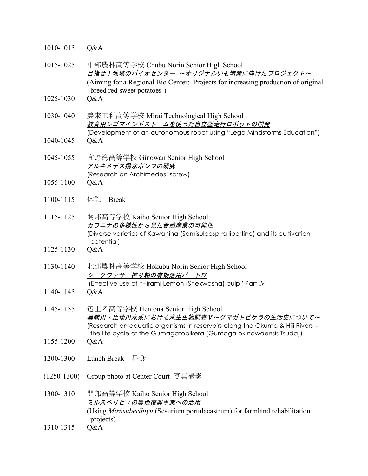| 1010-1015     | Q&A                                                                                                                                                                                                                              |
|---------------|----------------------------------------------------------------------------------------------------------------------------------------------------------------------------------------------------------------------------------|
| 1015-1025     | 中部農林高等学校 Chubu Norin Senior High School<br>日指せ!地域のバイオセンター ~オリジナルいも増産に向けたプロジェクト~<br>(Aiming for a Regional Bio Center: Projects for increasing production of original                                                             |
| 1025-1030     | breed red sweet potatoes-)<br>Q&A                                                                                                                                                                                                |
| 1030-1040     | 美来工科高等学校 Mirai Technological High School<br>教育用レゴマインドストームを使った自立型走行ロボットの開発<br>(Development of an autonomous robot using "Lego Mindstorms Education")                                                                              |
| 1040-1045     | Q&A                                                                                                                                                                                                                              |
| 1045-1055     | 宜野湾高等学校 Ginowan Senior High School<br>アルキメデス揚水ポンプの研究                                                                                                                                                                             |
| 1055-1100     | (Research on Archimedes' screw)<br>Q&A                                                                                                                                                                                           |
| 1100-1115     | 休憩<br><b>Break</b>                                                                                                                                                                                                               |
| 1115-1125     | 開邦高等学校 Kaiho Senior High School<br>カワニナの多様性から見た養殖産業の可能性<br>(Diverse varieties of Kawanina (Semisulcospira libertine) and its cultivation                                                                                         |
| 1125-1130     | potential)<br>Q&A                                                                                                                                                                                                                |
| 1130-1140     | 北部農林高等学校 Hokubu Norin Senior High School<br>シークワァサー搾り粕の有効活用パートIV                                                                                                                                                                 |
| 1140-1145     | (Effective use of "Hirami Lemon (Shekwasha) pulp" Part IV<br>Q&A                                                                                                                                                                 |
| 1145-1155     | 辺土名高等学校 Hentona Senior High School<br>奥間川・比地川水系における水生生物調査V~グマガトビケラの生活史について~<br>(Research on aquatic organisms in reservoirs along the Okuma & Hiji Rivers -<br>the life cycle of the Gumagatobikera (Gumaga okinawaensis Tsuda)) |
| 1155-1200     | Q&A                                                                                                                                                                                                                              |
| 1200-1300     | Lunch Break<br>昼食                                                                                                                                                                                                                |
| $(1250-1300)$ | Group photo at Center Court 写真撮影                                                                                                                                                                                                 |
| 1300-1310     | 開邦高等学校 Kaiho Senior High School<br>ミルスベリヒユの農地復興事業への活用<br>(Using Mirusuberihiyu (Sesurium portulacastrum) for farmland rehabilitation                                                                                             |
| 1310-1315     | projects)<br>Q&A                                                                                                                                                                                                                 |